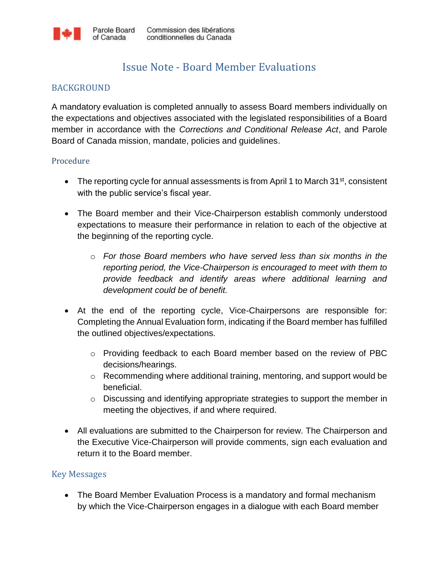## Issue Note - Board Member Evaluations

## BACKGROUND

A mandatory evaluation is completed annually to assess Board members individually on the expectations and objectives associated with the legislated responsibilities of a Board member in accordance with the *Corrections and Conditional Release Act*, and Parole Board of Canada mission, mandate, policies and guidelines.

## Procedure

- The reporting cycle for annual assessments is from April 1 to March  $31<sup>st</sup>$ , consistent with the public service's fiscal year.
- The Board member and their Vice-Chairperson establish commonly understood expectations to measure their performance in relation to each of the objective at the beginning of the reporting cycle.
	- o *For those Board members who have served less than six months in the reporting period, the Vice-Chairperson is encouraged to meet with them to provide feedback and identify areas where additional learning and development could be of benefit.*
- At the end of the reporting cycle, Vice-Chairpersons are responsible for: Completing the Annual Evaluation form, indicating if the Board member has fulfilled the outlined objectives/expectations.
	- o Providing feedback to each Board member based on the review of PBC decisions/hearings.
	- o Recommending where additional training, mentoring, and support would be beneficial.
	- o Discussing and identifying appropriate strategies to support the member in meeting the objectives, if and where required.
- All evaluations are submitted to the Chairperson for review. The Chairperson and the Executive Vice-Chairperson will provide comments, sign each evaluation and return it to the Board member.

## Key Messages

 The Board Member Evaluation Process is a mandatory and formal mechanism by which the Vice-Chairperson engages in a dialogue with each Board member